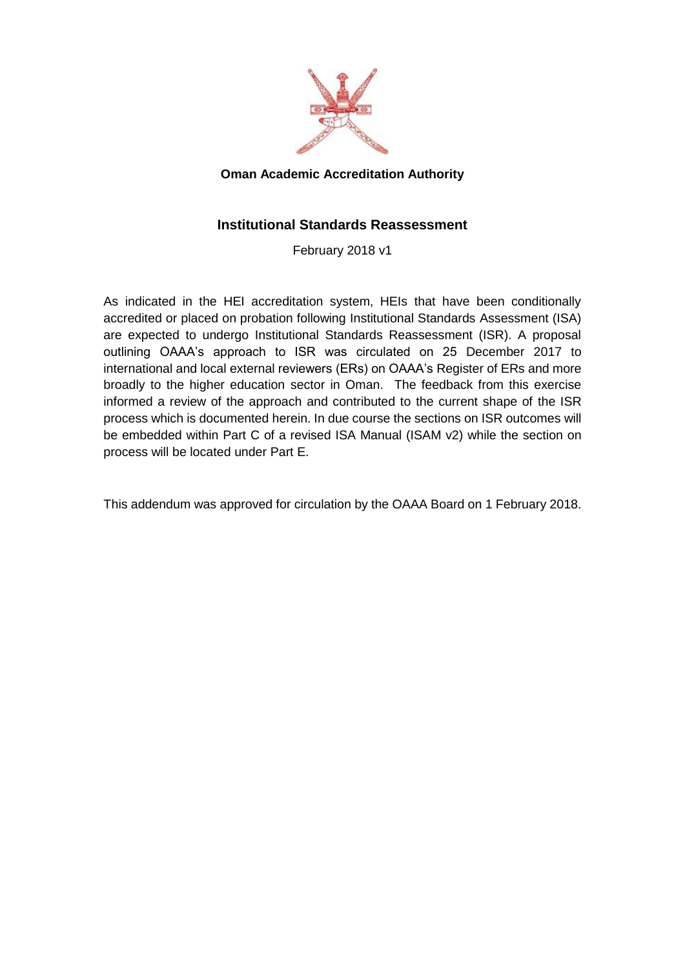

#### **Oman Academic Accreditation Authority**

#### **Institutional Standards Reassessment**

February 2018 v1

As indicated in the HEI accreditation system, HEIs that have been conditionally accredited or placed on probation following Institutional Standards Assessment (ISA) are expected to undergo Institutional Standards Reassessment (ISR). A proposal outlining OAAA's approach to ISR was circulated on 25 December 2017 to international and local external reviewers (ERs) on OAAA's Register of ERs and more broadly to the higher education sector in Oman. The feedback from this exercise informed a review of the approach and contributed to the current shape of the ISR process which is documented herein. In due course the sections on ISR outcomes will be embedded within Part C of a revised ISA Manual (ISAM v2) while the section on process will be located under Part E.

This addendum was approved for circulation by the OAAA Board on 1 February 2018.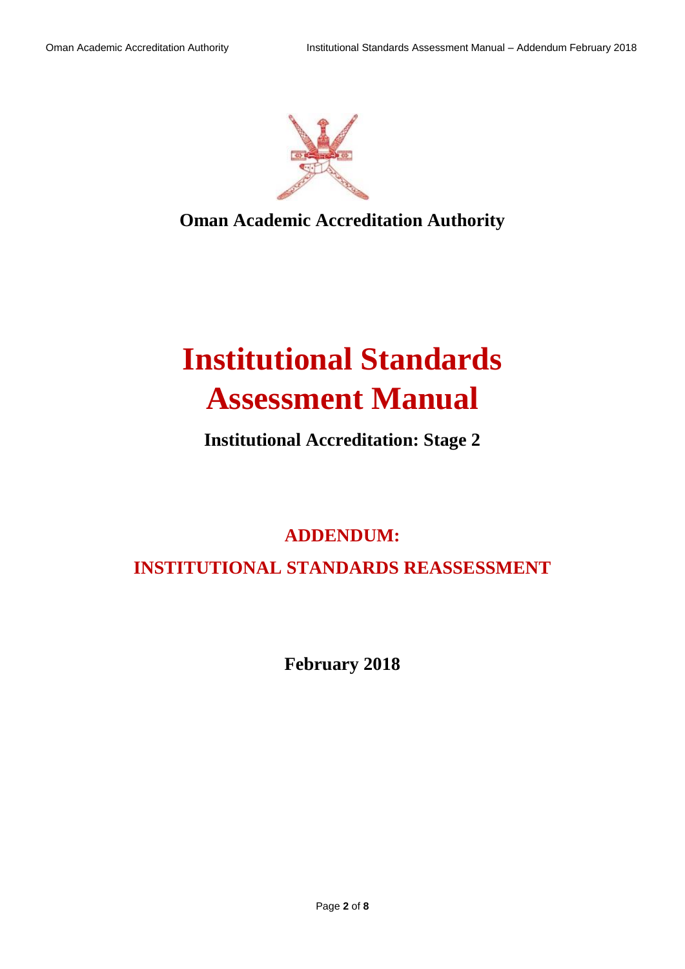

**Oman Academic Accreditation Authority**

# **Institutional Standards Assessment Manual**

### **Institutional Accreditation: Stage 2**

## **ADDENDUM: INSTITUTIONAL STANDARDS REASSESSMENT**

**February 2018**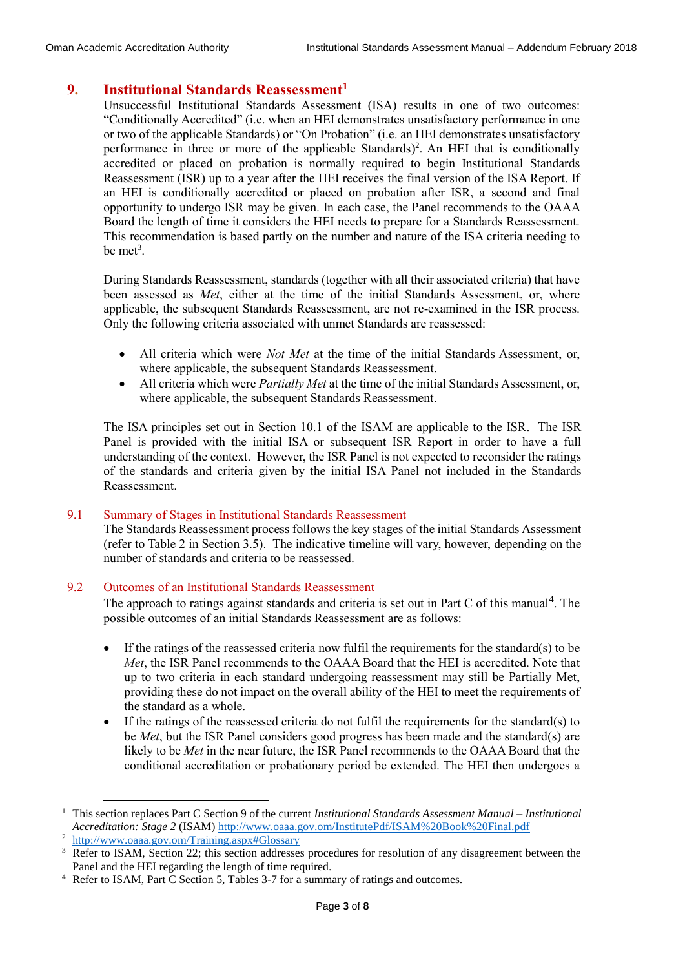#### **9. Institutional Standards Reassessment<sup>1</sup>**

Unsuccessful Institutional Standards Assessment (ISA) results in one of two outcomes: "Conditionally Accredited" (i.e. when an HEI demonstrates unsatisfactory performance in one or two of the applicable Standards) or "On Probation" (i.e. an HEI demonstrates unsatisfactory performance in three or more of the applicable Standards) 2 . An HEI that is conditionally accredited or placed on probation is normally required to begin Institutional Standards Reassessment (ISR) up to a year after the HEI receives the final version of the ISA Report. If an HEI is conditionally accredited or placed on probation after ISR, a second and final opportunity to undergo ISR may be given. In each case, the Panel recommends to the OAAA Board the length of time it considers the HEI needs to prepare for a Standards Reassessment. This recommendation is based partly on the number and nature of the ISA criteria needing to be met<sup>3</sup>.

During Standards Reassessment, standards (together with all their associated criteria) that have been assessed as *Met*, either at the time of the initial Standards Assessment, or, where applicable, the subsequent Standards Reassessment, are not re-examined in the ISR process. Only the following criteria associated with unmet Standards are reassessed:

- All criteria which were *Not Met* at the time of the initial Standards Assessment, or, where applicable, the subsequent Standards Reassessment.
- All criteria which were *Partially Met* at the time of the initial Standards Assessment, or, where applicable, the subsequent Standards Reassessment.

The ISA principles set out in Section 10.1 of the ISAM are applicable to the ISR. The ISR Panel is provided with the initial ISA or subsequent ISR Report in order to have a full understanding of the context. However, the ISR Panel is not expected to reconsider the ratings of the standards and criteria given by the initial ISA Panel not included in the Standards Reassessment.

#### 9.1 Summary of Stages in Institutional Standards Reassessment

The Standards Reassessment process follows the key stages of the initial Standards Assessment (refer to Table 2 in Section 3.5). The indicative timeline will vary, however, depending on the number of standards and criteria to be reassessed.

#### 9.2 Outcomes of an Institutional Standards Reassessment

The approach to ratings against standards and criteria is set out in Part C of this manual<sup>4</sup>. The possible outcomes of an initial Standards Reassessment are as follows:

- If the ratings of the reassessed criteria now fulfil the requirements for the standard(s) to be *Met*, the ISR Panel recommends to the OAAA Board that the HEI is accredited. Note that up to two criteria in each standard undergoing reassessment may still be Partially Met, providing these do not impact on the overall ability of the HEI to meet the requirements of the standard as a whole.
- If the ratings of the reassessed criteria do not fulfil the requirements for the standard(s) to be *Met*, but the ISR Panel considers good progress has been made and the standard(s) are likely to be *Met* in the near future, the ISR Panel recommends to the OAAA Board that the conditional accreditation or probationary period be extended. The HEI then undergoes a

**.** 

<sup>1</sup> This section replaces Part C Section 9 of the current *Institutional Standards Assessment Manual – Institutional Accreditation: Stage 2* (ISAM) <http://www.oaaa.gov.om/InstitutePdf/ISAM%20Book%20Final.pdf>

<http://www.oaaa.gov.om/Training.aspx#Glossary>

<sup>&</sup>lt;sup>3</sup> Refer to ISAM, Section 22; this section addresses procedures for resolution of any disagreement between the Panel and the HEI regarding the length of time required.

<sup>4</sup> Refer to ISAM, Part C Section 5, Tables 3-7 for a summary of ratings and outcomes.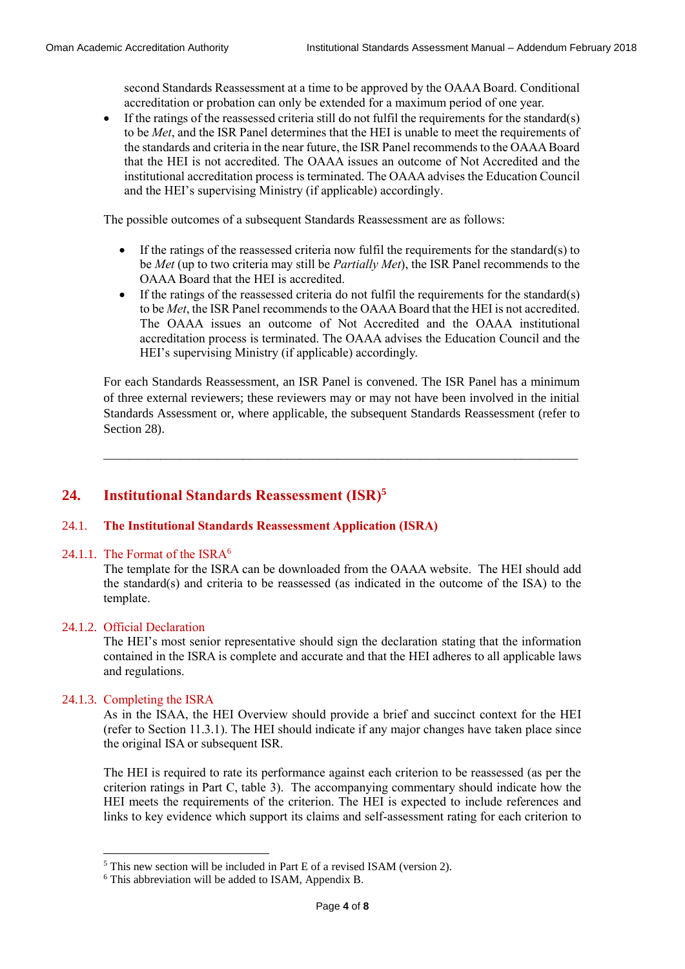second Standards Reassessment at a time to be approved by the OAAA Board. Conditional accreditation or probation can only be extended for a maximum period of one year.

 $\bullet$  If the ratings of the reassessed criteria still do not fulfil the requirements for the standard(s) to be *Met*, and the ISR Panel determines that the HEI is unable to meet the requirements of the standards and criteria in the near future, the ISR Panel recommends to the OAAA Board that the HEI is not accredited. The OAAA issues an outcome of Not Accredited and the institutional accreditation process is terminated. The OAAA advises the Education Council and the HEI's supervising Ministry (if applicable) accordingly.

The possible outcomes of a subsequent Standards Reassessment are as follows:

- If the ratings of the reassessed criteria now fulfil the requirements for the standard(s) to be *Met* (up to two criteria may still be *Partially Met*), the ISR Panel recommends to the OAAA Board that the HEI is accredited.
- If the ratings of the reassessed criteria do not fulfil the requirements for the standard(s) to be *Met*, the ISR Panel recommends to the OAAA Board that the HEI is not accredited. The OAAA issues an outcome of Not Accredited and the OAAA institutional accreditation process is terminated. The OAAA advises the Education Council and the HEI's supervising Ministry (if applicable) accordingly.

For each Standards Reassessment, an ISR Panel is convened. The ISR Panel has a minimum of three external reviewers; these reviewers may or may not have been involved in the initial Standards Assessment or, where applicable, the subsequent Standards Reassessment (refer to Section 28).

\_\_\_\_\_\_\_\_\_\_\_\_\_\_\_\_\_\_\_\_\_\_\_\_\_\_\_\_\_\_\_\_\_\_\_\_\_\_\_\_\_\_\_\_\_\_\_\_\_\_\_\_\_\_\_\_\_\_\_\_\_\_\_\_\_\_\_\_\_\_\_\_\_\_\_

#### **24. Institutional Standards Reassessment (ISR) 5**

#### 24.1. **The Institutional Standards Reassessment Application (ISRA)**

#### 24.1.1. The Format of the ISRA<sup>6</sup>

The template for the ISRA can be downloaded from the OAAA website. The HEI should add the standard(s) and criteria to be reassessed (as indicated in the outcome of the ISA) to the template.

#### 24.1.2. Official Declaration

The HEI's most senior representative should sign the declaration stating that the information contained in the ISRA is complete and accurate and that the HEI adheres to all applicable laws and regulations.

#### 24.1.3. Completing the ISRA

1

As in the ISAA, the HEI Overview should provide a brief and succinct context for the HEI (refer to Section 11.3.1). The HEI should indicate if any major changes have taken place since the original ISA or subsequent ISR.

The HEI is required to rate its performance against each criterion to be reassessed (as per the criterion ratings in Part C, table 3). The accompanying commentary should indicate how the HEI meets the requirements of the criterion. The HEI is expected to include references and links to key evidence which support its claims and self-assessment rating for each criterion to

<sup>5</sup> This new section will be included in Part E of a revised ISAM (version 2).

<sup>6</sup> This abbreviation will be added to ISAM, Appendix B.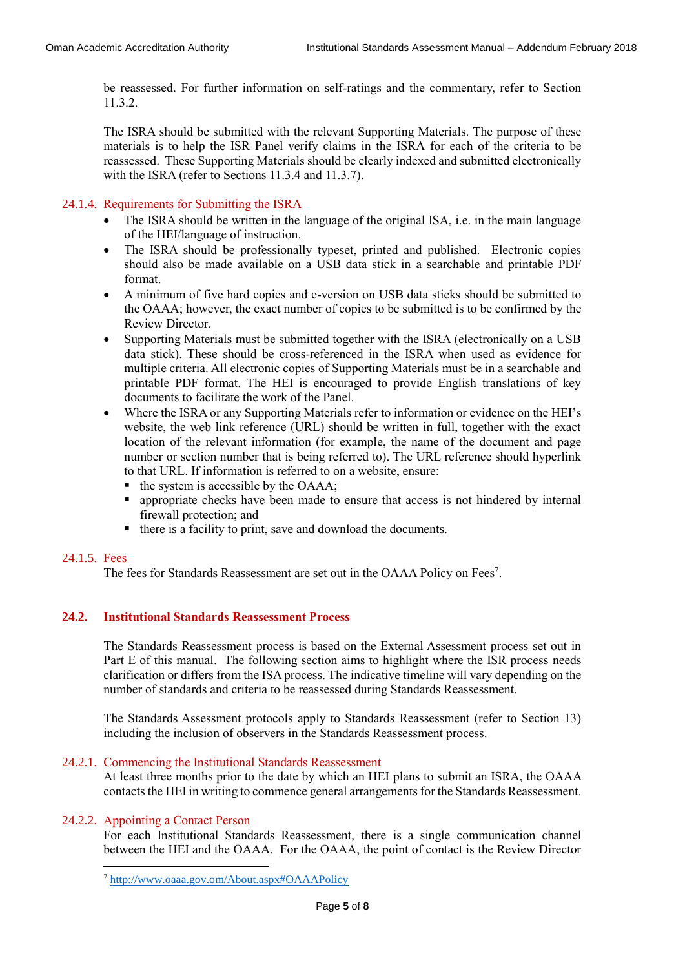be reassessed. For further information on self-ratings and the commentary, refer to Section 11.3.2.

The ISRA should be submitted with the relevant Supporting Materials. The purpose of these materials is to help the ISR Panel verify claims in the ISRA for each of the criteria to be reassessed. These Supporting Materials should be clearly indexed and submitted electronically with the ISRA (refer to Sections 11.3.4 and 11.3.7).

24.1.4. Requirements for Submitting the ISRA

- The ISRA should be written in the language of the original ISA, i.e. in the main language of the HEI/language of instruction.
- The ISRA should be professionally typeset, printed and published. Electronic copies should also be made available on a USB data stick in a searchable and printable PDF format.
- A minimum of five hard copies and e-version on USB data sticks should be submitted to the OAAA; however, the exact number of copies to be submitted is to be confirmed by the Review Director.
- Supporting Materials must be submitted together with the ISRA (electronically on a USB data stick). These should be cross-referenced in the ISRA when used as evidence for multiple criteria. All electronic copies of Supporting Materials must be in a searchable and printable PDF format. The HEI is encouraged to provide English translations of key documents to facilitate the work of the Panel.
- Where the ISRA or any Supporting Materials refer to information or evidence on the HEI's website, the web link reference (URL) should be written in full, together with the exact location of the relevant information (for example, the name of the document and page number or section number that is being referred to). The URL reference should hyperlink to that URL. If information is referred to on a website, ensure:
	- $\blacksquare$  the system is accessible by the OAAA;
	- appropriate checks have been made to ensure that access is not hindered by internal firewall protection; and
	- there is a facility to print, save and download the documents.

#### 24.1.5. Fees

The fees for Standards Reassessment are set out in the OAAA Policy on Fees<sup>7</sup>.

#### **24.2. Institutional Standards Reassessment Process**

The Standards Reassessment process is based on the External Assessment process set out in Part E of this manual. The following section aims to highlight where the ISR process needs clarification or differs from the ISA process. The indicative timeline will vary depending on the number of standards and criteria to be reassessed during Standards Reassessment.

The Standards Assessment protocols apply to Standards Reassessment (refer to Section 13) including the inclusion of observers in the Standards Reassessment process.

#### 24.2.1. Commencing the Institutional Standards Reassessment

At least three months prior to the date by which an HEI plans to submit an ISRA, the OAAA contacts the HEI in writing to commence general arrangements for the Standards Reassessment.

#### 24.2.2. Appointing a Contact Person

**.** 

For each Institutional Standards Reassessment, there is a single communication channel between the HEI and the OAAA. For the OAAA, the point of contact is the Review Director

<sup>7</sup> <http://www.oaaa.gov.om/About.aspx#OAAAPolicy>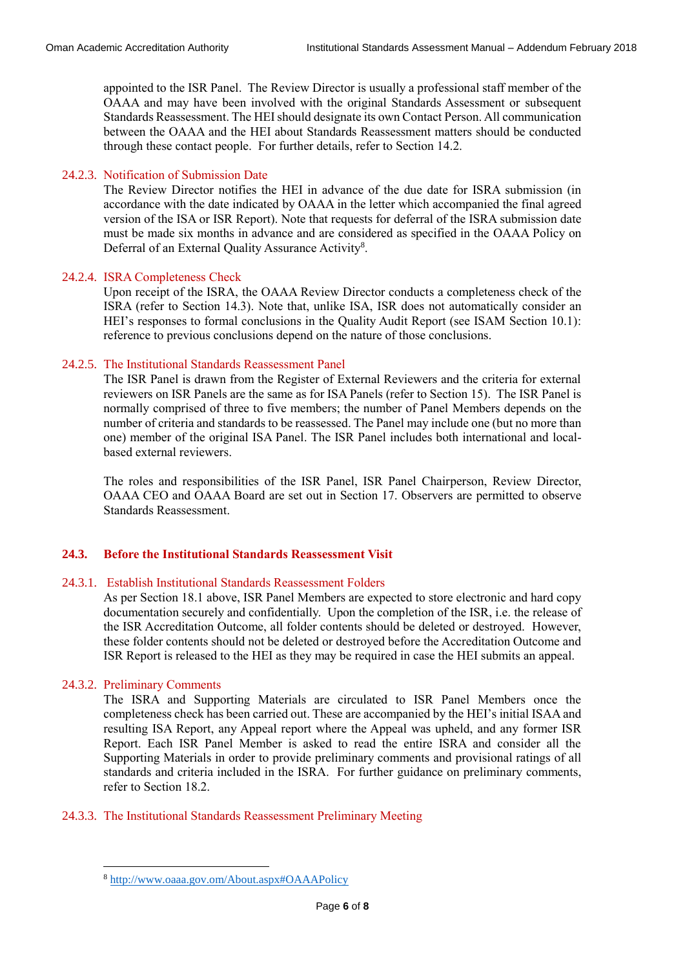appointed to the ISR Panel. The Review Director is usually a professional staff member of the OAAA and may have been involved with the original Standards Assessment or subsequent Standards Reassessment. The HEI should designate its own Contact Person. All communication between the OAAA and the HEI about Standards Reassessment matters should be conducted through these contact people. For further details, refer to Section 14.2.

#### 24.2.3. Notification of Submission Date

The Review Director notifies the HEI in advance of the due date for ISRA submission (in accordance with the date indicated by OAAA in the letter which accompanied the final agreed version of the ISA or ISR Report). Note that requests for deferral of the ISRA submission date must be made six months in advance and are considered as specified in the OAAA Policy on Deferral of an External Quality Assurance Activity<sup>8</sup>.

#### 24.2.4. ISRA Completeness Check

Upon receipt of the ISRA, the OAAA Review Director conducts a completeness check of the ISRA (refer to Section 14.3). Note that, unlike ISA, ISR does not automatically consider an HEI's responses to formal conclusions in the Quality Audit Report (see ISAM Section 10.1): reference to previous conclusions depend on the nature of those conclusions.

#### 24.2.5. The Institutional Standards Reassessment Panel

The ISR Panel is drawn from the Register of External Reviewers and the criteria for external reviewers on ISR Panels are the same as for ISA Panels (refer to Section 15). The ISR Panel is normally comprised of three to five members; the number of Panel Members depends on the number of criteria and standards to be reassessed. The Panel may include one (but no more than one) member of the original ISA Panel. The ISR Panel includes both international and localbased external reviewers.

The roles and responsibilities of the ISR Panel, ISR Panel Chairperson, Review Director, OAAA CEO and OAAA Board are set out in Section 17. Observers are permitted to observe Standards Reassessment.

#### **24.3. Before the Institutional Standards Reassessment Visit**

#### 24.3.1. Establish Institutional Standards Reassessment Folders

As per Section 18.1 above, ISR Panel Members are expected to store electronic and hard copy documentation securely and confidentially. Upon the completion of the ISR, i.e. the release of the ISR Accreditation Outcome, all folder contents should be deleted or destroyed. However, these folder contents should not be deleted or destroyed before the Accreditation Outcome and ISR Report is released to the HEI as they may be required in case the HEI submits an appeal.

#### 24.3.2. Preliminary Comments

**.** 

The ISRA and Supporting Materials are circulated to ISR Panel Members once the completeness check has been carried out. These are accompanied by the HEI's initial ISAA and resulting ISA Report, any Appeal report where the Appeal was upheld, and any former ISR Report. Each ISR Panel Member is asked to read the entire ISRA and consider all the Supporting Materials in order to provide preliminary comments and provisional ratings of all standards and criteria included in the ISRA. For further guidance on preliminary comments, refer to Section 18.2.

#### 24.3.3. The Institutional Standards Reassessment Preliminary Meeting

<sup>8</sup> <http://www.oaaa.gov.om/About.aspx#OAAAPolicy>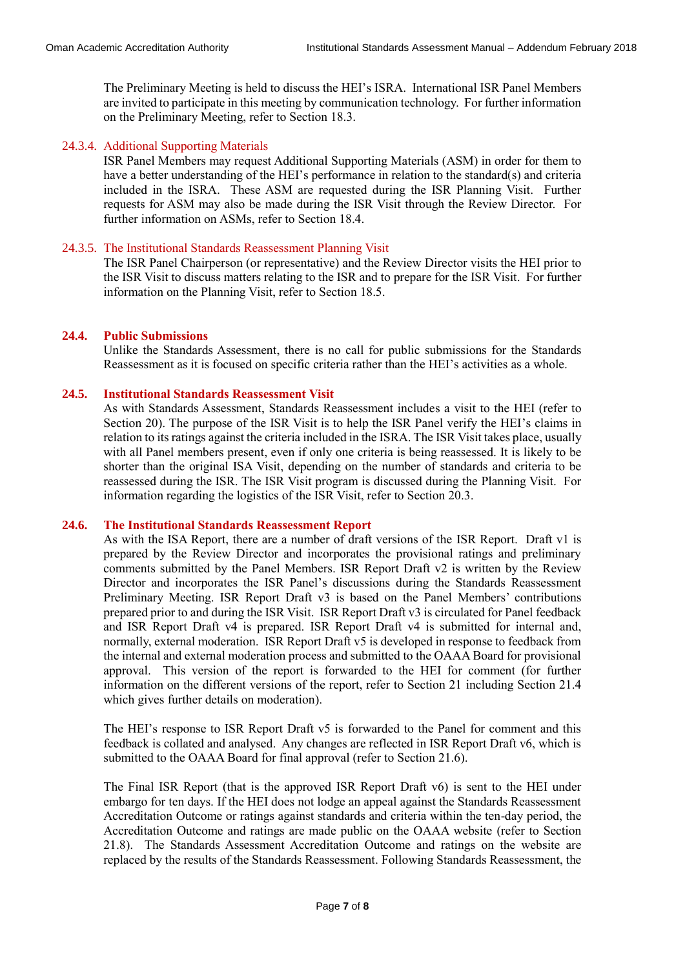The Preliminary Meeting is held to discuss the HEI's ISRA. International ISR Panel Members are invited to participate in this meeting by communication technology. For further information on the Preliminary Meeting, refer to Section 18.3.

#### 24.3.4. Additional Supporting Materials

ISR Panel Members may request Additional Supporting Materials (ASM) in order for them to have a better understanding of the HEI's performance in relation to the standard(s) and criteria included in the ISRA. These ASM are requested during the ISR Planning Visit. Further requests for ASM may also be made during the ISR Visit through the Review Director. For further information on ASMs, refer to Section 18.4.

#### 24.3.5. The Institutional Standards Reassessment Planning Visit

The ISR Panel Chairperson (or representative) and the Review Director visits the HEI prior to the ISR Visit to discuss matters relating to the ISR and to prepare for the ISR Visit. For further information on the Planning Visit, refer to Section 18.5.

#### **24.4. Public Submissions**

Unlike the Standards Assessment, there is no call for public submissions for the Standards Reassessment as it is focused on specific criteria rather than the HEI's activities as a whole.

#### **24.5. Institutional Standards Reassessment Visit**

As with Standards Assessment, Standards Reassessment includes a visit to the HEI (refer to Section 20). The purpose of the ISR Visit is to help the ISR Panel verify the HEI's claims in relation to its ratings against the criteria included in the ISRA. The ISR Visit takes place, usually with all Panel members present, even if only one criteria is being reassessed. It is likely to be shorter than the original ISA Visit, depending on the number of standards and criteria to be reassessed during the ISR. The ISR Visit program is discussed during the Planning Visit. For information regarding the logistics of the ISR Visit, refer to Section 20.3.

#### **24.6. The Institutional Standards Reassessment Report**

As with the ISA Report, there are a number of draft versions of the ISR Report. Draft v1 is prepared by the Review Director and incorporates the provisional ratings and preliminary comments submitted by the Panel Members. ISR Report Draft v2 is written by the Review Director and incorporates the ISR Panel's discussions during the Standards Reassessment Preliminary Meeting. ISR Report Draft v3 is based on the Panel Members' contributions prepared prior to and during the ISR Visit. ISR Report Draft v3 is circulated for Panel feedback and ISR Report Draft v4 is prepared. ISR Report Draft v4 is submitted for internal and, normally, external moderation. ISR Report Draft v5 is developed in response to feedback from the internal and external moderation process and submitted to the OAAA Board for provisional approval. This version of the report is forwarded to the HEI for comment (for further information on the different versions of the report, refer to Section 21 including Section 21.4 which gives further details on moderation).

The HEI's response to ISR Report Draft v5 is forwarded to the Panel for comment and this feedback is collated and analysed. Any changes are reflected in ISR Report Draft v6, which is submitted to the OAAA Board for final approval (refer to Section 21.6).

The Final ISR Report (that is the approved ISR Report Draft v6) is sent to the HEI under embargo for ten days. If the HEI does not lodge an appeal against the Standards Reassessment Accreditation Outcome or ratings against standards and criteria within the ten-day period, the Accreditation Outcome and ratings are made public on the OAAA website (refer to Section 21.8). The Standards Assessment Accreditation Outcome and ratings on the website are replaced by the results of the Standards Reassessment. Following Standards Reassessment, the